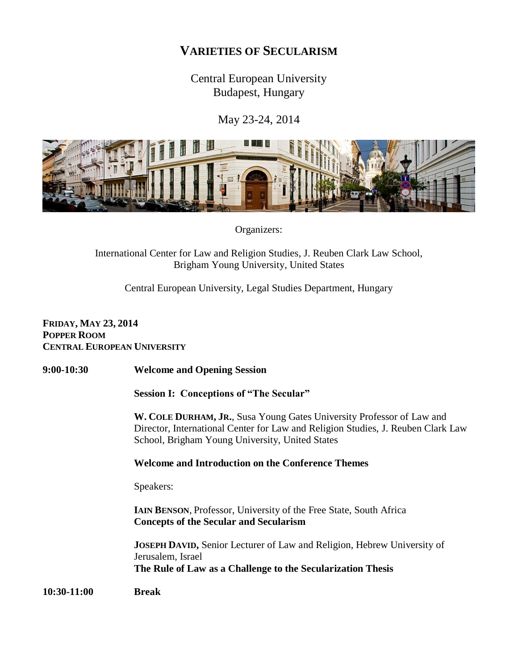## **VARIETIES OF SECULARISM**

Central European University Budapest, Hungary

May 23-24, 2014



Organizers:

International Center for Law and Religion Studies, J. Reuben Clark Law School, Brigham Young University, United States

Central European University, Legal Studies Department, Hungary

## **FRIDAY, MAY 23, 2014 POPPER ROOM CENTRAL EUROPEAN UNIVERSITY**

**9:00-10:30 Welcome and Opening Session**

**Session I: Conceptions of "The Secular"**

**W. COLE DURHAM, JR.**, Susa Young Gates University Professor of Law and Director, International Center for Law and Religion Studies, J. Reuben Clark Law School, Brigham Young University, United States

## **Welcome and Introduction on the Conference Themes**

Speakers:

**IAIN BENSON**, Professor, University of the Free State, South Africa **Concepts of the Secular and Secularism**

**JOSEPH DAVID,** Senior Lecturer of Law and Religion, Hebrew University of Jerusalem, Israel **The Rule of Law as a Challenge to the Secularization Thesis**

**10:30-11:00 Break**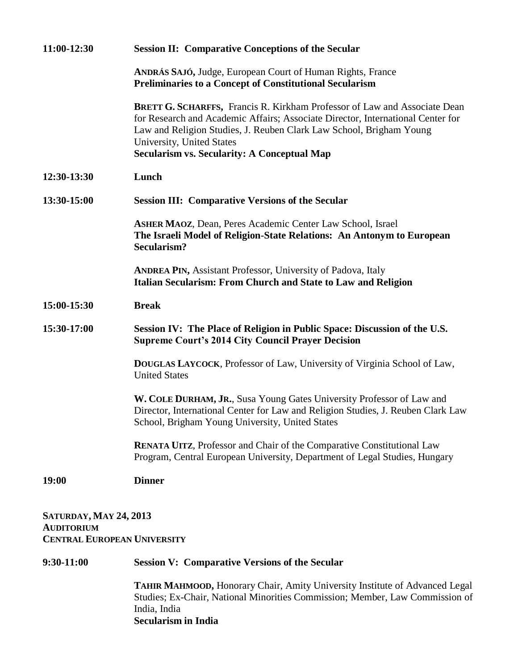| 11:00-12:30                                                                              | <b>Session II: Comparative Conceptions of the Secular</b>                                                                                                                                                                                                                                                                     |
|------------------------------------------------------------------------------------------|-------------------------------------------------------------------------------------------------------------------------------------------------------------------------------------------------------------------------------------------------------------------------------------------------------------------------------|
|                                                                                          | <b>ANDRÁS SAJÓ, Judge, European Court of Human Rights, France</b><br><b>Preliminaries to a Concept of Constitutional Secularism</b>                                                                                                                                                                                           |
|                                                                                          | <b>BRETT G. SCHARFFS, Francis R. Kirkham Professor of Law and Associate Dean</b><br>for Research and Academic Affairs; Associate Director, International Center for<br>Law and Religion Studies, J. Reuben Clark Law School, Brigham Young<br>University, United States<br><b>Secularism vs. Secularity: A Conceptual Map</b> |
| 12:30-13:30                                                                              | Lunch                                                                                                                                                                                                                                                                                                                         |
| 13:30-15:00                                                                              | <b>Session III: Comparative Versions of the Secular</b>                                                                                                                                                                                                                                                                       |
|                                                                                          | <b>ASHER MAOZ, Dean, Peres Academic Center Law School, Israel</b><br>The Israeli Model of Religion-State Relations: An Antonym to European<br><b>Secularism?</b>                                                                                                                                                              |
|                                                                                          | <b>ANDREA PIN, Assistant Professor, University of Padova, Italy</b><br>Italian Secularism: From Church and State to Law and Religion                                                                                                                                                                                          |
| 15:00-15:30                                                                              | <b>Break</b>                                                                                                                                                                                                                                                                                                                  |
| 15:30-17:00                                                                              | Session IV: The Place of Religion in Public Space: Discussion of the U.S.<br><b>Supreme Court's 2014 City Council Prayer Decision</b>                                                                                                                                                                                         |
|                                                                                          | <b>DOUGLAS LAYCOCK, Professor of Law, University of Virginia School of Law,</b><br><b>United States</b>                                                                                                                                                                                                                       |
|                                                                                          | W. COLE DURHAM, JR., Susa Young Gates University Professor of Law and<br>Director, International Center for Law and Religion Studies, J. Reuben Clark Law<br>School, Brigham Young University, United States                                                                                                                  |
|                                                                                          | <b>RENATA UITZ, Professor and Chair of the Comparative Constitutional Law</b><br>Program, Central European University, Department of Legal Studies, Hungary                                                                                                                                                                   |
| 19:00                                                                                    | <b>Dinner</b>                                                                                                                                                                                                                                                                                                                 |
| <b>SATURDAY, MAY 24, 2013</b><br><b>AUDITORIUM</b><br><b>CENTRAL EUROPEAN UNIVERSITY</b> |                                                                                                                                                                                                                                                                                                                               |
| 9:30-11:00                                                                               | <b>Session V: Comparative Versions of the Secular</b>                                                                                                                                                                                                                                                                         |
|                                                                                          | TAHIR MAHMOOD, Honorary Chair, Amity University Institute of Advanced Legal                                                                                                                                                                                                                                                   |

Studies; Ex-Chair, National Minorities Commission; Member, Law Commission of India, India **Secularism in India**